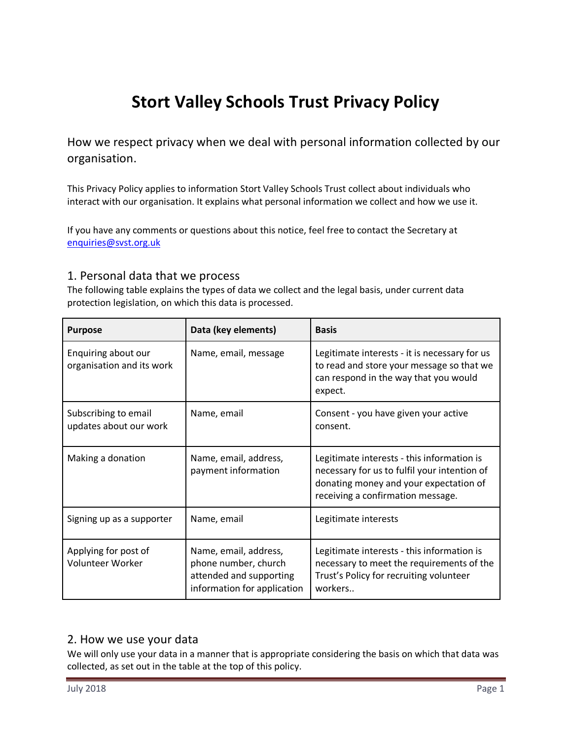# **Stort Valley Schools Trust Privacy Policy**

How we respect privacy when we deal with personal information collected by our organisation.

This Privacy Policy applies to information Stort Valley Schools Trust collect about individuals who interact with our organisation. It explains what personal information we collect and how we use it.

If you have any comments or questions about this notice, feel free to contact the Secretary at [enquiries@svst.org.uk](mailto:enquiries@svst.org.uk)

# 1. Personal data that we process

The following table explains the types of data we collect and the legal basis, under current data protection legislation, on which this data is processed.

| <b>Purpose</b>                                   | Data (key elements)                                                                                     | <b>Basis</b>                                                                                                                                                              |
|--------------------------------------------------|---------------------------------------------------------------------------------------------------------|---------------------------------------------------------------------------------------------------------------------------------------------------------------------------|
| Enquiring about our<br>organisation and its work | Name, email, message                                                                                    | Legitimate interests - it is necessary for us<br>to read and store your message so that we<br>can respond in the way that you would<br>expect.                            |
| Subscribing to email<br>updates about our work   | Name, email                                                                                             | Consent - you have given your active<br>consent.                                                                                                                          |
| Making a donation                                | Name, email, address,<br>payment information                                                            | Legitimate interests - this information is<br>necessary for us to fulfil your intention of<br>donating money and your expectation of<br>receiving a confirmation message. |
| Signing up as a supporter                        | Name, email                                                                                             | Legitimate interests                                                                                                                                                      |
| Applying for post of<br>Volunteer Worker         | Name, email, address,<br>phone number, church<br>attended and supporting<br>information for application | Legitimate interests - this information is<br>necessary to meet the requirements of the<br>Trust's Policy for recruiting volunteer<br>workers                             |

## 2. How we use your data

We will only use your data in a manner that is appropriate considering the basis on which that data was collected, as set out in the table at the top of this policy.